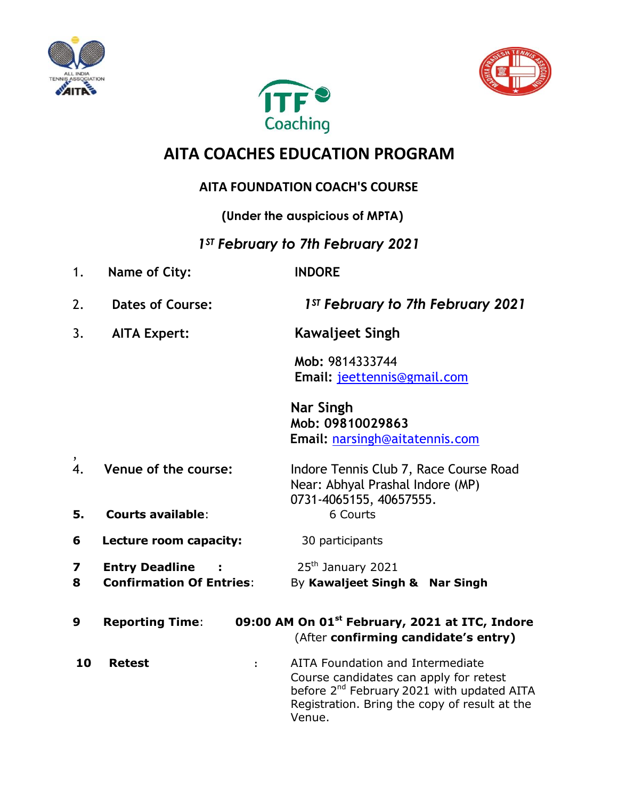





# **AITA COACHES EDUCATION PROGRAM**

### **AITA FOUNDATION COACH'S COURSE**

**(Under the auspicious of MPTA)**

## *1ST February to 7th February 2021*

1. **Name of City: INDORE** 2. **Dates of Course:** *1ST February to 7th February 2021* 3. **AITA Expert: Kawaljeet Singh Mob:** 9814333744 **Email:** [jeettennis@gmail.com](mailto:jeettennis@gmail.com) **Nar Singh Mob: 09810029863 Email:** [narsingh@aitatennis.com](mailto:narsingh@aitatennis.com) , 4. **Venue of the course:** Indore Tennis Club 7, Race Course Road Near: Abhyal Prashal Indore (MP) 0731-4065155, 40657555. **5. Courts available**: 6 Courts **6** Lecture room capacity: 30 participants **7 Entry Deadline :** 25<sup>th</sup> January 2021 **8 Confirmation Of Entries**: By **Kawaljeet Singh & Nar Singh 9 Reporting Time**: **09:00 AM On 01st February, 2021 at ITC, Indore** (After **confirming candidate's entry) 10 Retest :** AITA Foundation and Intermediate Course candidates can apply for retest before 2<sup>nd</sup> February 2021 with updated AITA Registration. Bring the copy of result at the Venue.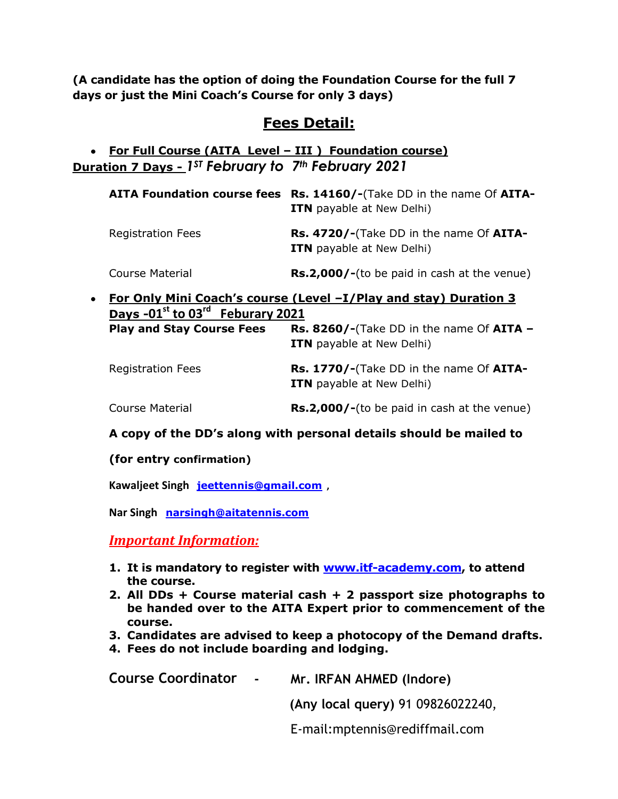**(A candidate has the option of doing the Foundation Course for the full 7 days or just the Mini Coach's Course for only 3 days)**

### **Fees Detail:**

#### **For Full Course (AITA Level – III ) Foundation course) Duration 7 Days -** *1ST February to 7th February 2021*

|                          | AITA Foundation course fees Rs. 14160/-(Take DD in the name Of AITA-<br><b>ITN</b> payable at New Delhi) |
|--------------------------|----------------------------------------------------------------------------------------------------------|
| <b>Registration Fees</b> | Rs. 4720/-(Take DD in the name Of AITA-<br><b>ITN</b> payable at New Delhi)                              |
| Course Material          | <b>Rs.2,000/-</b> (to be paid in cash at the venue)                                                      |

**For Only Mini Coach's course (Level –I/Play and stay) Duration 3 Days -01st to 03rd Feburary 2021 Play and Stay Course Fees Rs. 8260/-**(Take DD in the name Of **AITA – ITN** payable at New Delhi)

| <b>Registration Fees</b> | <b>Rs. 1770/-</b> (Take DD in the name Of AITA-<br><b>ITN</b> payable at New Delhi) |
|--------------------------|-------------------------------------------------------------------------------------|
| Course Material          | <b>Rs.2,000/-</b> (to be paid in cash at the venue)                                 |

#### **A copy of the DD's along with personal details should be mailed to**

#### **(for entry confirmation)**

**Kawaljeet Singh [jeettennis@gmail.com](mailto:jeettennis@gmail.com) ,**

**Nar Singh [narsingh@aitatennis.com](mailto:narsingh@aitatennis.com)**

*Important Information:*

- **1. It is mandatory to register with [www.itf-academy.com,](http://www.itf-academy.com/) to attend the course.**
- **2. All DDs + Course material cash + 2 passport size photographs to be handed over to the AITA Expert prior to commencement of the course.**
- **3. Candidates are advised to keep a photocopy of the Demand drafts.**
- **4. Fees do not include boarding and lodging.**

| <b>Course Coordinator</b><br><b>Common</b> | Mr. IRFAN AHMED (Indore)          |
|--------------------------------------------|-----------------------------------|
|                                            | (Any local query) 91 09826022240, |
|                                            | E-mail: mptennis@rediffmail.com   |